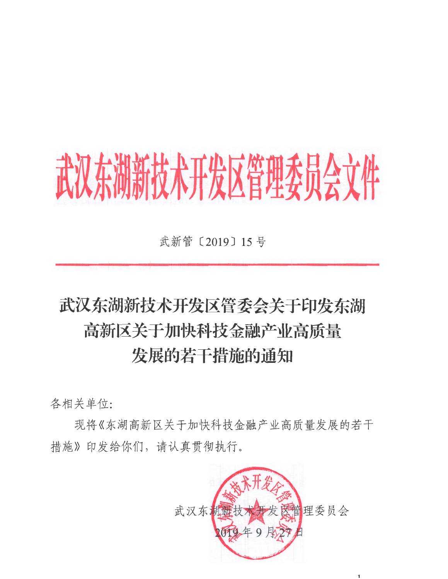# 武汉东湖新技术开发区管理委员会文件

武新管 [2019] 15号

## 武汉东湖新技术开发区管委会关于印发东湖 高新区关于加快科技金融产业高质量 发展的若干措施的通知

各相关单位:

现将《东湖高新区关于加快科技金融产业高质量发展的若干 措施》印发给你们,请认真贯彻执行。



 $\mathbf{1}$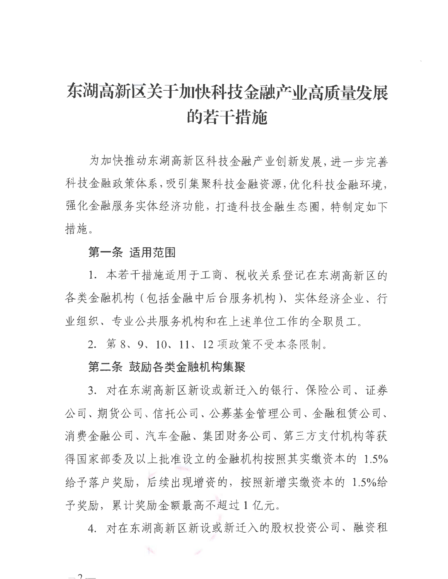### 东湖高新区关于加快科技金融产业高质量发展 **的若干措施**

为加快推动东湖高新区科技金融产业创新发展,进一步完善 科技金融政策体系, 吸引集聚科技金融资源, 优化科技金融环境, 强化金融服务实体经济功能,打造科技金融生态圈,特制定如下 措施。

#### 第一条 话用范围

1. 本若干措施适用于工商、税收关系登记在东湖高新区的 各类金融机构(包括金融中后台服务机构)、实体经济企业、行 业组织、专业公共服务机构和在上述单位工作的全职员工。

2. 第8、9、10、11、12 项政策不受本条限制。

#### 第二条 鼓励各类金融机构集聚

W.

3. 对在东湖高新区新设或新迁入的银行、保险公司、证券 公司、期货公司、信托公司、公募基金管理公司、金融租赁公司、 消费金融公司、汽车金融、集团财务公司、第三方支付机构等获 得国家部委及以上批准设立的金融机构按照其实缴资本的 1.5% 给予落户奖励, 后续出现增资的, 按照新增实缴资本的 1.5%给 予奖励,累计奖励金额最高不超过1亿元。

4. 对在东湖高新区新设或新迁入的股权投资公司、融资租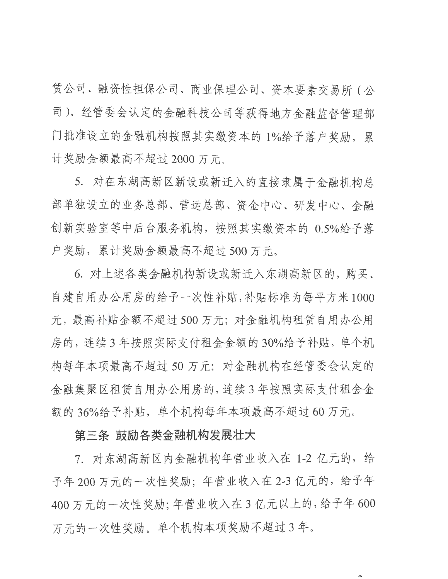赁公司、融资性担保公司、商业保理公司、资本要素交易所 ( 公 司)、经管委会认定的金融科技公司等获得地方金融监督管理部 门批准设立的金融机构按照其实缴资本的 1%给予落户奖励, 累 计奖励金额最高不超过 2000 万元。

5. 对在东湖高新区新设或新迁入的直接隶属于金融机构总 部单独设立的业务总部、营运总部、资金中心、研发中心、金融 创新实验室等中后台服务机构, 按照其实缴资本的 0.5%给予落 户奖励,累计奖励金额最高不超过 500 万元。

6. 对上述各类金融机构新设或新迁入东湖高新区的, 购买、 自建自用办公用房的给予一次性补贴,补贴标准为每平方米1000 元, 最高补贴金额不超过500万元; 对金融机构租赁自用办公用 房的, 连续 3 年按照实际支付租金金额的 30%给予补贴, 单个机 构每年本项最高不超过50万元;对金融机构在经管委会认定的 金融集聚区租赁自用办公用房的,连续3年按照实际支付租金金 额的36%给予补贴,单个机构每年本项最高不超过60万元。

#### 第三条 鼓励各类金融机构发展壮大

7. 对东湖高新区内金融机构年营业收入在 1-2 亿元的, 给 予年200万元的一次性奖励;年营业收入在2-3亿元的,给予年 400万元的一次性奖励;年营业收入在3亿元以上的,给予年600 万元的一次性奖励。单个机构本项奖励不超过3年。

 $\hat{\phantom{a}}$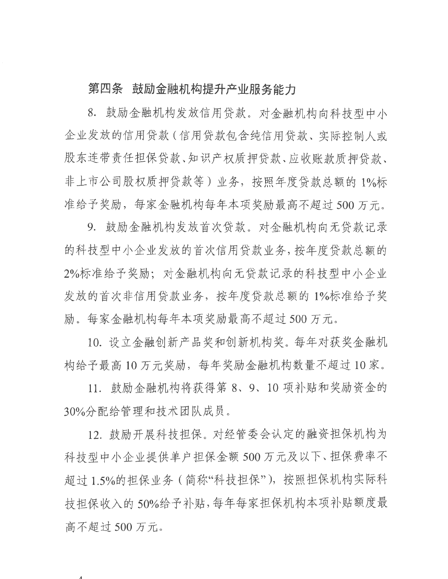#### 第四条 鼓励金融机构提升产业服务能力

8. 鼓励金融机构发放信用贷款。对金融机构向科技型中小 企业发放的信用贷款(信用贷款包含纯信用贷款、实际控制人或 股东连带责任担保贷款、知识产权质押贷款、应收账款质押贷款、 非上市公司股权质押贷款等) 业务, 按照年度贷款总额的 1%标 准给予奖励, 每家金融机构每年本项奖励最高不超过 500 万元。

9. 鼓励金融机构发放首次贷款。对金融机构向无贷款记录 的科技型中小企业发放的首次信用贷款业务, 按年度贷款总额的 2%标准给予奖励; 对金融机构向无贷款记录的科技型中小企业 发放的首次非信用贷款业务, 按年度贷款总额的 1%标准给予奖 励。每家金融机构每年本项奖励最高不超过 500 万元。

10. 设立金融创新产品奖和创新机构奖。每年对获奖金融机 构给予最高10万元奖励, 每年奖励金融机构数量不超过10家。

11. 鼓励金融机构将获得第 8、9、10 项补贴和奖励资金的 30%分配给管理和技术团队成员。

12. 鼓励开展科技担保。对经管委会认定的融资担保机构为 科技型中小企业提供单户担保金额 500 万元及以下、担保费率不 超讨 1.5%的担保业务 ( 简称"科技担保" ), 按照担保机构实际科 持担保收入的 50%给予补贴, 每年每家担保机构本项补贴额度最 高不超过 500 万元。

 $\boldsymbol{\Lambda}$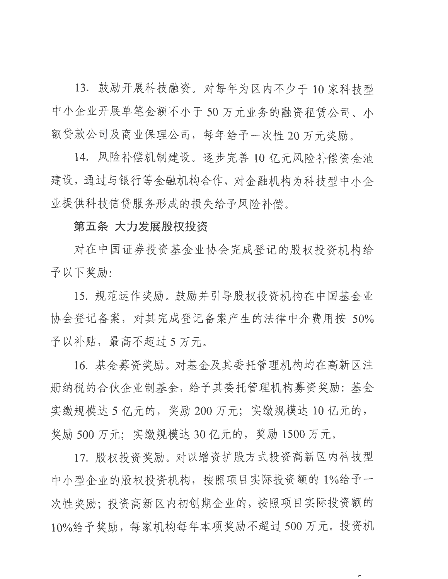13. 鼓励开展科技融资。对每年为区内不少于 10 家科技型 中小企业开展单笔金额不小于50万元业务的融资租赁公司、小 额贷款公司及商业保理公司,每年给予一次性20万元奖励。

14. 风险补偿机制建设。逐步完善 10 亿元风险补偿资金池 建设, 通过与银行等金融机构合作, 对金融机构为科技型中小企 业提供科技信贷服务形成的损失给予风险补偿。

#### 第五条 大力发展股权投资

对在中国证券投资基金业协会完成登记的股权投资机构给 予以下奖励:

15. 规范运作奖励。鼓励并引导股权投资机构在中国基金业 协会登记备案, 对其完成登记备案产生的法律中介费用按 50% 予以补贴, 最高不超过 5 万元。

16. 基金募资奖励。对基金及其委托管理机构均在高新区注 册纳税的合伙企业制基金, 给予其委托管理机构募资奖励: 基金 实缴规模达 5 亿元的, 奖励 200 万元; 实缴规模达 10 亿元的, 奖励 500 万元; 实缴规模达 30 亿元的, 奖励 1500 万元。

17. 股权投资奖励。对以增资扩股方式投资高新区内科技型 中小型企业的股权投资机构, 按照项目实际投资额的 1%给予一 次性奖励; 投资高新区内初创期企业的, 按照项目实际投资额的 10%给予奖励, 每家机构每年本项奖励不超过500万元。投资机

 $\sqrt{2}$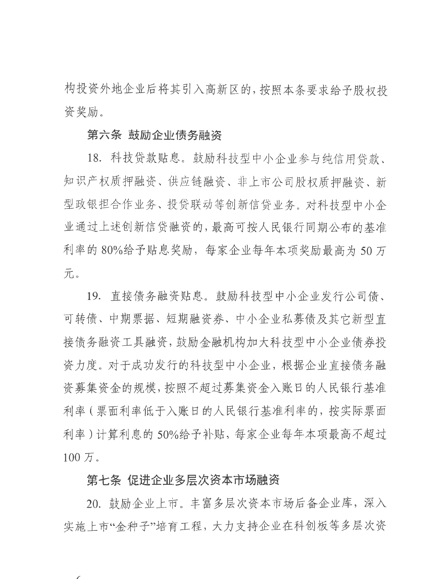构投资外地企业后将其引入高新区的, 按照本条要求给予股权投 资奖励。

#### 第六条 鼓励企业债务融资

18. 科技贷款贴息。鼓励科技型中小企业参与纯信用贷款、 知识产权质押融资、供应链融资、非上市公司股权质押融资、新 型政银担合作业务、投贷联动等创新信贷业务。对科技型中小企 业通过上述创新信贷融资的, 最高可按人民银行同期公布的基准 利率的 80%给予贴息奖励, 每家企业每年本项奖励最高为 50 万 元。

19. 直接债务融资贴息。鼓励科技型中小企业发行公司债、 可转债、中期票据、短期融资券、中小企业私募债及其它新型直 接债务融资工具融资, 鼓励金融机构加大科技型中小企业债券投 资力度。对于成功发行的科技型中小企业,根据企业直接债务融 资募集资金的规模, 按照不超过募集资金入账日的人民银行基准 利率(票面利率低于入账日的人民银行基准利率的, 按实际票面 利率)计算利息的 50%给予补贴, 每家企业每年本项最高不超过  $100 \overline{\text{J}}$ .

#### 第七条 促进企业多层次资本市场融资

 $\sqrt{2}$ 

20. 鼓励企业上市。丰富多层次资本市场后备企业库,深入 实施上市"金种子"培育工程,大力支持企业在科创板等多层次资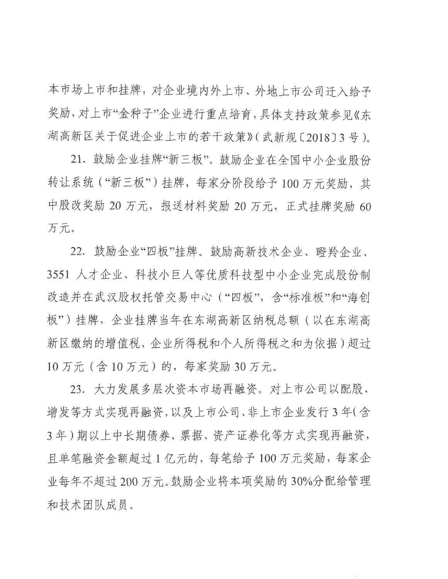本市场上市和挂牌, 对企业境内外上市、外地上市公司迁入给予 奖励,对上市"金种子"企业进行重点培育,具体支持政策参见《东 湖高新区关于促进企业上市的若干政策》(武新规〔2018〕3号)。

21. 鼓励企业挂牌"新三板"。鼓励企业在全国中小企业股份 转让系统 ("新三板") 挂牌, 每家分阶段给予 100 万元奖励, 其 中股改奖励 20 万元, 报送材料奖励 20 万元, 正式挂牌奖励 60 万元。

22. 鼓励企业"四板"挂牌。鼓励高新技术企业、瞪羚企业、 3551 人才企业、科技小巨人等优质科技型中小企业完成股份制 改造并在武汉股权托管交易中心("四板",含"标准板"和"海创 板")挂牌,企业挂牌当年在东湖高新区纳税总额(以在东湖高 新区缴纳的增值税、企业所得税和个人所得税之和为依据)超过 10 万元 (含10 万元) 的, 每家奖励 30 万元。

23. 大力发展多层次资本市场再融资。对上市公司以配股、 增发等方式实现再融资,以及上市公司、非上市企业发行3年(含 3年)期以上中长期倩券、票据、资产证券化等方式实现再融资, 且单笔融资金额超过1亿元的,每笔给予100万元奖励,每家企 业每年不超过200万元。鼓励企业将本项奖励的30%分配给管理 和技术团队成员。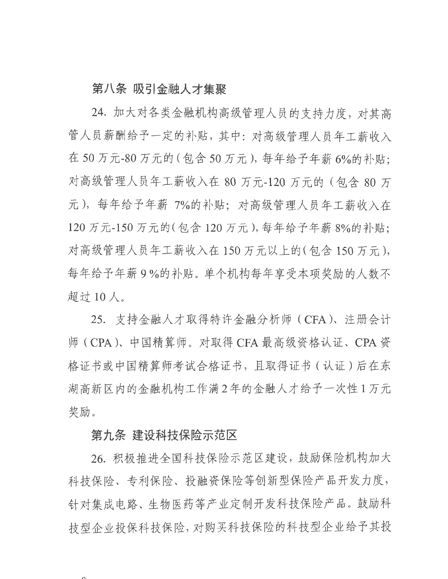#### 第八条 吸引金融人才集聚

24. 加大对各类金融机构高级管理人员的支持力度, 对其高 管人员薪酬给予一定的补贴,其中:对高级管理人员年工薪收入 在50万元-80万元的(包含50万元),每年给予年薪6%的补贴; 对高级管理人员年工薪收入在 80 万元-120 万元的 (包含 80 万 元), 每年给予年薪 7%的补贴; 对高级管理人员年工薪收入在 120 万元-150 万元的(包含 120 万元), 每年给予年薪 8%的补贴; 对高级管理人员年工薪收入在 150 万元以上的(包含 150 万元), 每年给予年薪9%的补贴。单个机构每年享受本项奖励的人数不 超过10人。

25. 支持金融人才取得特许金融分析师 (CFA)、注册会计 师 (CPA)、中国精算师。对取得 CFA 最高级资格认证、CPA 资 格证书或中国精算师考试合格证书, 且取得证书 (认证)后在东 湖高新区内的金融机构工作满2年的金融人才给予一次性1万元 奖励。

#### 第九条 建设科技保险示范区

26. 积极推进全国科技保险示范区建设, 鼓励保险机构加大 科技保险、专利保险、投融资保险等创新型保险产品开发力度, 针对集成电路、生物医药等产业定制开发科技保险产品。鼓励科 持型企业投保科技保险, 对购买科技保险的科技型企业给予其投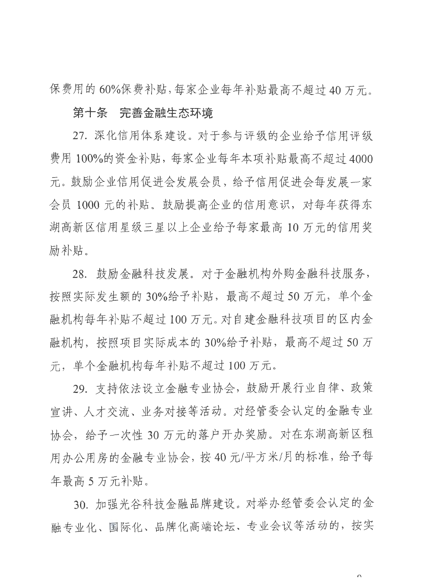保费用的 60%保费补贴,每家企业每年补贴最高不超过 40 万元。

#### **第十条 完善金融生态环境**

27. 深化信用体系建设。对于参与评级的企业给予信用评级 费用 100%的资金补贴, 每家企业每年本项补贴最高不超过 4000 元。鼓励企业信用促进会发展会员,给予信用促进会每发展一家 会员 1000 元的补贴。鼓励提高企业的信用意识, 对每年获得东 湖高新区信用星级三星以上企业给予每家最高10万元的信用奖 励补贴。

28. 鼓励金融科技发展。对于金融机构外购金融科技服务, 按照实际发生额的 30%给予补贴, 最高不超过 50 万元, 单个金 融机构每年补贴不超过100万元。对自建金融科技项目的区内金 融机构, 按照项目实际成本的 30%给予补贴, 最高不超过 50 万 元, 单个金融机构每年补贴不超过 100 万元。

29. 支持依法设立金融专业协会, 鼓励开展行业自律、政策 宣讲、人才交流、业务对接等活动。对经管委会认定的金融专业 协会, 给予一次性 30 万元的落户开办奖励。对在东湖高新区租 用办公用房的金融专业协会, 按 40 元/平方米/月的标准, 给予每 年最高5万元补贴。

30. 加强光谷科技金融品牌建设。对举办经管委会认定的金 融专业化、国际化、品牌化高端论坛、专业会议等活动的,按实

 $\Omega$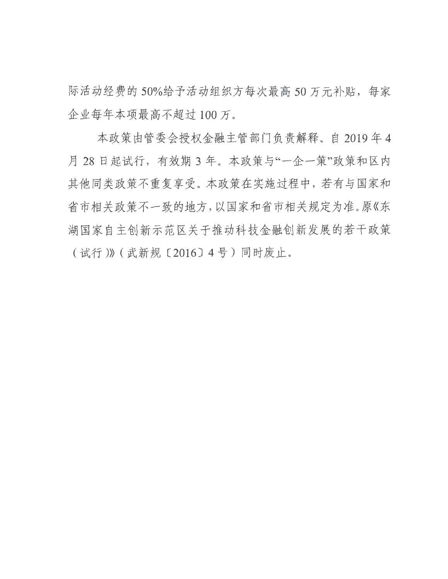际活动经费的50%给予活动组织方每次最高50万元补贴,每家 企业每年本项最高不超过100万。

本政策由管委会授权金融主管部门负责解释。自2019年4 月 28 日起试行, 有效期 3 年。本政策与"一企一策"政策和区内 其他同类政策不重复享受。本政策在实施过程中,若有与国家和 省市相关政策不一致的地方,以国家和省市相关规定为准。原《东 湖国家自主创新示范区关于推动科技金融创新发展的若干政策 (试行)》(武新规〔2016〕4号)同时废止。